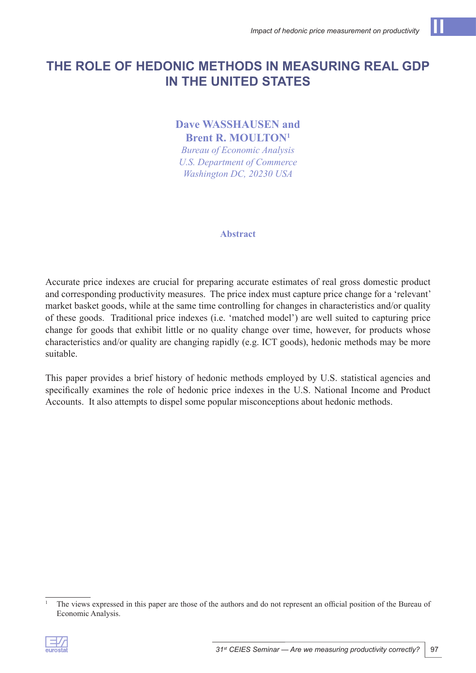# **The Role of Hedonic Methods in Measuring Real GDP in the United States**

# **Dave WASSHAUSEN and Brent R. MOULTON1**

*Bureau of Economic Analysis U.S. Department of Commerce Washington DC, 20230 USA*

#### **Abstract**

Accurate price indexes are crucial for preparing accurate estimates of real gross domestic product and corresponding productivity measures. The price index must capture price change for a 'relevant' market basket goods, while at the same time controlling for changes in characteristics and/or quality of these goods. Traditional price indexes (i.e. 'matched model') are well suited to capturing price change for goods that exhibit little or no quality change over time, however, for products whose characteristics and/or quality are changing rapidly (e.g. ICT goods), hedonic methods may be more suitable.

This paper provides a brief history of hedonic methods employed by U.S. statistical agencies and specifically examines the role of hedonic price indexes in the U.S. National Income and Product Accounts. It also attempts to dispel some popular misconceptions about hedonic methods.

<sup>&</sup>lt;sup>1</sup> The views expressed in this paper are those of the authors and do not represent an official position of the Bureau of Economic Analysis.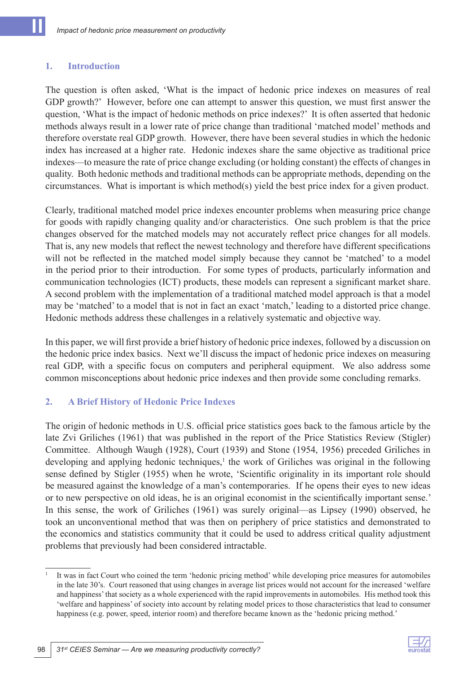#### **1. Introduction**

The question is often asked, 'What is the impact of hedonic price indexes on measures of real GDP growth?' However, before one can attempt to answer this question, we must first answer the question, 'What is the impact of hedonic methods on price indexes?' It is often asserted that hedonic methods always result in a lower rate of price change than traditional 'matched model' methods and therefore overstate real GDP growth. However, there have been several studies in which the hedonic index has increased at a higher rate. Hedonic indexes share the same objective as traditional price indexes—to measure the rate of price change excluding (or holding constant) the effects of changes in quality. Both hedonic methods and traditional methods can be appropriate methods, depending on the circumstances. What is important is which method(s) yield the best price index for a given product.

Clearly, traditional matched model price indexes encounter problems when measuring price change for goods with rapidly changing quality and/or characteristics. One such problem is that the price changes observed for the matched models may not accurately reflect price changes for all models. That is, any new models that reflect the newest technology and therefore have different specifications will not be reflected in the matched model simply because they cannot be 'matched' to a model in the period prior to their introduction. For some types of products, particularly information and communication technologies (ICT) products, these models can represent a significant market share. A second problem with the implementation of a traditional matched model approach is that a model may be 'matched' to a model that is not in fact an exact 'match,' leading to a distorted price change. Hedonic methods address these challenges in a relatively systematic and objective way.

In this paper, we will first provide a brief history of hedonic price indexes, followed by a discussion on the hedonic price index basics. Next we'll discuss the impact of hedonic price indexes on measuring real GDP, with a specific focus on computers and peripheral equipment. We also address some common misconceptions about hedonic price indexes and then provide some concluding remarks.

#### **2. A Brief History of Hedonic Price Indexes**

The origin of hedonic methods in U.S. official price statistics goes back to the famous article by the late Zvi Griliches (1961) that was published in the report of the Price Statistics Review (Stigler) Committee. Although Waugh (1928), Court (1939) and Stone (1954, 1956) preceded Griliches in developing and applying hedonic techniques,<sup>1</sup> the work of Griliches was original in the following sense defined by Stigler (1955) when he wrote, 'Scientific originality in its important role should be measured against the knowledge of a man's contemporaries. If he opens their eyes to new ideas or to new perspective on old ideas, he is an original economist in the scientifically important sense.' In this sense, the work of Griliches (1961) was surely original—as Lipsey (1990) observed, he took an unconventional method that was then on periphery of price statistics and demonstrated to the economics and statistics community that it could be used to address critical quality adjustment problems that previously had been considered intractable.



<sup>1</sup> It was in fact Court who coined the term 'hedonic pricing method' while developing price measures for automobiles in the late 30's. Court reasoned that using changes in average list prices would not account for the increased 'welfare and happiness' that society as a whole experienced with the rapid improvements in automobiles. His method took this 'welfare and happiness' of society into account by relating model prices to those characteristics that lead to consumer happiness (e.g. power, speed, interior room) and therefore became known as the 'hedonic pricing method.'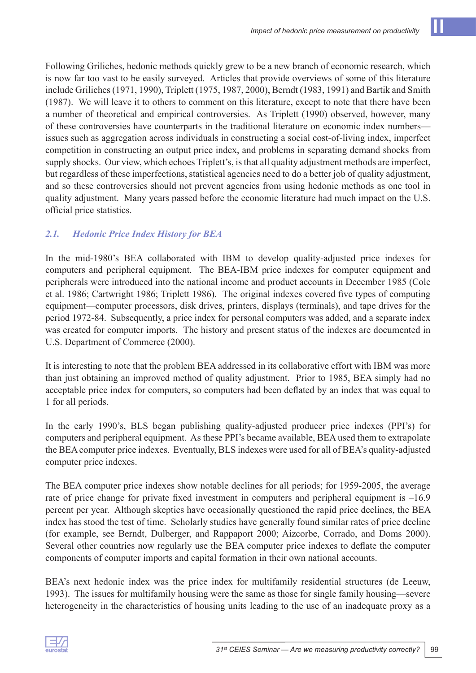Following Griliches, hedonic methods quickly grew to be a new branch of economic research, which is now far too vast to be easily surveyed. Articles that provide overviews of some of this literature include Griliches (1971, 1990), Triplett (1975, 1987, 2000), Berndt (1983, 1991) and Bartik and Smith (1987). We will leave it to others to comment on this literature, except to note that there have been a number of theoretical and empirical controversies. As Triplett (1990) observed, however, many of these controversies have counterparts in the traditional literature on economic index numbers issues such as aggregation across individuals in constructing a social cost-of-living index, imperfect competition in constructing an output price index, and problems in separating demand shocks from supply shocks. Our view, which echoes Triplett's, is that all quality adjustment methods are imperfect, but regardless of these imperfections, statistical agencies need to do a better job of quality adjustment, and so these controversies should not prevent agencies from using hedonic methods as one tool in quality adjustment. Many years passed before the economic literature had much impact on the U.S. official price statistics.

# *2.1. Hedonic Price Index History for BEA*

In the mid-1980's BEA collaborated with IBM to develop quality-adjusted price indexes for computers and peripheral equipment. The BEA-IBM price indexes for computer equipment and peripherals were introduced into the national income and product accounts in December 1985 (Cole et al. 1986; Cartwright 1986; Triplett 1986). The original indexes covered five types of computing equipment—computer processors, disk drives, printers, displays (terminals), and tape drives for the period 1972-84. Subsequently, a price index for personal computers was added, and a separate index was created for computer imports. The history and present status of the indexes are documented in U.S. Department of Commerce (2000).

It is interesting to note that the problem BEA addressed in its collaborative effort with IBM was more than just obtaining an improved method of quality adjustment. Prior to 1985, BEA simply had no acceptable price index for computers, so computers had been deflated by an index that was equal to 1 for all periods.

In the early 1990's, BLS began publishing quality-adjusted producer price indexes (PPI's) for computers and peripheral equipment. As these PPI's became available, BEA used them to extrapolate the BEA computer price indexes. Eventually, BLS indexes were used for all of BEA's quality-adjusted computer price indexes.

The BEA computer price indexes show notable declines for all periods; for 1959-2005, the average rate of price change for private fixed investment in computers and peripheral equipment is –16.9 percent per year. Although skeptics have occasionally questioned the rapid price declines, the BEA index has stood the test of time. Scholarly studies have generally found similar rates of price decline (for example, see Berndt, Dulberger, and Rappaport 2000; Aizcorbe, Corrado, and Doms 2000). Several other countries now regularly use the BEA computer price indexes to deflate the computer components of computer imports and capital formation in their own national accounts.

BEA's next hedonic index was the price index for multifamily residential structures (de Leeuw, 1993). The issues for multifamily housing were the same as those for single family housing—severe heterogeneity in the characteristics of housing units leading to the use of an inadequate proxy as a

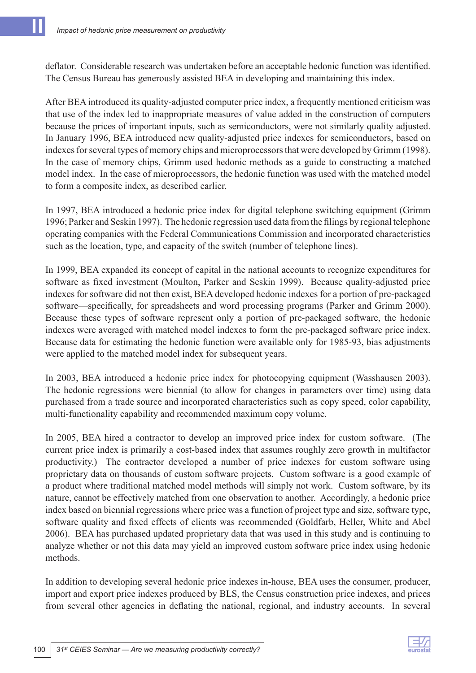deflator. Considerable research was undertaken before an acceptable hedonic function was identified. The Census Bureau has generously assisted BEA in developing and maintaining this index.

After BEA introduced its quality-adjusted computer price index, a frequently mentioned criticism was that use of the index led to inappropriate measures of value added in the construction of computers because the prices of important inputs, such as semiconductors, were not similarly quality adjusted. In January 1996, BEA introduced new quality-adjusted price indexes for semiconductors, based on indexes for several types of memory chips and microprocessors that were developed by Grimm (1998). In the case of memory chips, Grimm used hedonic methods as a guide to constructing a matched model index. In the case of microprocessors, the hedonic function was used with the matched model to form a composite index, as described earlier.

In 1997, BEA introduced a hedonic price index for digital telephone switching equipment (Grimm 1996; Parker and Seskin 1997). The hedonic regression used data from the filings by regional telephone operating companies with the Federal Communications Commission and incorporated characteristics such as the location, type, and capacity of the switch (number of telephone lines).

In 1999, BEA expanded its concept of capital in the national accounts to recognize expenditures for software as fixed investment (Moulton, Parker and Seskin 1999). Because quality-adjusted price indexes for software did not then exist, BEA developed hedonic indexes for a portion of pre-packaged software—specifically, for spreadsheets and word processing programs (Parker and Grimm 2000). Because these types of software represent only a portion of pre-packaged software, the hedonic indexes were averaged with matched model indexes to form the pre-packaged software price index. Because data for estimating the hedonic function were available only for 1985-93, bias adjustments were applied to the matched model index for subsequent years.

In 2003, BEA introduced a hedonic price index for photocopying equipment (Wasshausen 2003). The hedonic regressions were biennial (to allow for changes in parameters over time) using data purchased from a trade source and incorporated characteristics such as copy speed, color capability, multi-functionality capability and recommended maximum copy volume.

In 2005, BEA hired a contractor to develop an improved price index for custom software. (The current price index is primarily a cost-based index that assumes roughly zero growth in multifactor productivity.) The contractor developed a number of price indexes for custom software using proprietary data on thousands of custom software projects. Custom software is a good example of a product where traditional matched model methods will simply not work. Custom software, by its nature, cannot be effectively matched from one observation to another. Accordingly, a hedonic price index based on biennial regressions where price was a function of project type and size, software type, software quality and fixed effects of clients was recommended (Goldfarb, Heller, White and Abel 2006). BEA has purchased updated proprietary data that was used in this study and is continuing to analyze whether or not this data may yield an improved custom software price index using hedonic methods.

In addition to developing several hedonic price indexes in-house, BEA uses the consumer, producer, import and export price indexes produced by BLS, the Census construction price indexes, and prices from several other agencies in deflating the national, regional, and industry accounts. In several

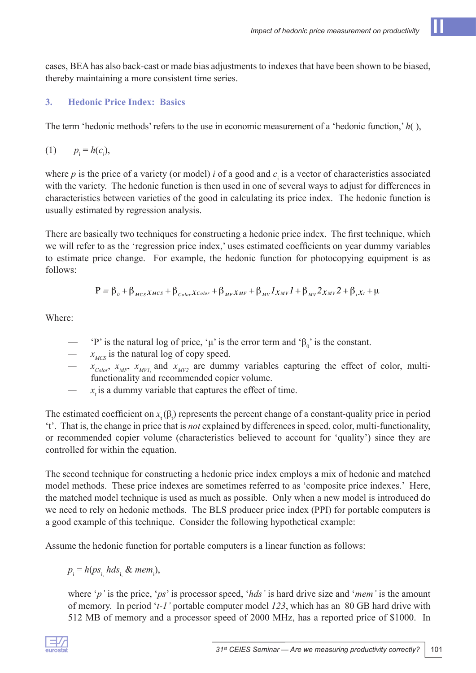cases, BEA has also back-cast or made bias adjustments to indexes that have been shown to be biased, thereby maintaining a more consistent time series.

# **3. Hedonic Price Index: Basics**

The term 'hedonic methods' refers to the use in economic measurement of a 'hedonic function,' *h*( ),

$$
(1) \t p_i = h(c_i),
$$

where  $p$  is the price of a variety (or model) *i* of a good and  $c<sub>i</sub>$  is a vector of characteristics associated with the variety. The hedonic function is then used in one of several ways to adjust for differences in characteristics between varieties of the good in calculating its price index. The hedonic function is usually estimated by regression analysis.

There are basically two techniques for constructing a hedonic price index. The first technique, which we will refer to as the 'regression price index,' uses estimated coefficients on year dummy variables to estimate price change. For example, the hedonic function for photocopying equipment is as follows:

$$
P = \beta_o + \beta_{\text{MCS}} x_{\text{MCS}} + \beta_{\text{Color}} x_{\text{Color}} + \beta_{\text{MF}} x_{\text{MF}} + \beta_{\text{MV}} I_{x_{\text{MV}}} I + \beta_{\text{MV}} 2_{x_{\text{MV}}} 2 + \beta_{\text{r}} x_{\text{r}} + \mu
$$

Where:

- 'P' is the natural log of price, 'μ' is the error term and ' $\beta_0$ ' is the constant.
- *— xMCS* is the natural log of copy speed.
- $x_{Color}$ ,  $x_{MF}$ ,  $x_{MVI}$  and  $x_{MV2}$  are dummy variables capturing the effect of color, multifunctionality and recommended copier volume.
- $x<sub>i</sub>$  is a dummy variable that captures the effect of time.

The estimated coefficient on  $x_t(\beta_t)$  represents the percent change of a constant-quality price in period 't'. That is, the change in price that is *not* explained by differences in speed, color, multi-functionality, or recommended copier volume (characteristics believed to account for 'quality') since they are controlled for within the equation.

The second technique for constructing a hedonic price index employs a mix of hedonic and matched model methods. These price indexes are sometimes referred to as 'composite price indexes.' Here, the matched model technique is used as much as possible. Only when a new model is introduced do we need to rely on hedonic methods. The BLS producer price index (PPI) for portable computers is a good example of this technique. Consider the following hypothetical example:

Assume the hedonic function for portable computers is a linear function as follows:

 $p_{i} = h(p s_{i} \text{, } h ds_{i} \text{, } \& \text{ } mem_{i} \text{)}.$ 

where '*p'* is the price, '*ps*' is processor speed, '*hds'* is hard drive size and '*mem'* is the amount of memory. In period '*t-1'* portable computer model *123*, which has an 80 GB hard drive with 512 MB of memory and a processor speed of 2000 MHz, has a reported price of \$1000. In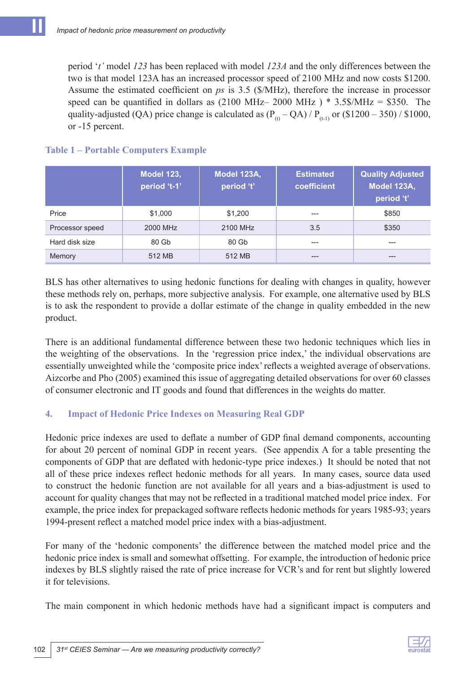period '*t'* model *123* has been replaced with model *123A* and the only differences between the two is that model 123A has an increased processor speed of 2100 MHz and now costs \$1200. Assume the estimated coefficient on *ps* is 3.5 (\$/MHz), therefore the increase in processor speed can be quantified in dollars as  $(2100 \text{ MHz} - 2000 \text{ MHz})$  \* 3.5\$/MHz = \$350. The quality-adjusted (QA) price change is calculated as  $(P_{(t)} - QA) / P_{(t-1)}$  or (\$1200 – 350) / \$1000, or -15 percent.

|                 | <b>Model 123,</b><br>period 't-1' | Model 123A,<br>period 't' | <b>Estimated</b><br>coefficient | <b>Quality Adjusted</b><br>Model 123A,<br>period 't' |
|-----------------|-----------------------------------|---------------------------|---------------------------------|------------------------------------------------------|
| Price           | \$1,000                           | \$1,200                   | ---                             | \$850                                                |
| Processor speed | 2000 MHz                          | 2100 MHz                  | 3.5                             | \$350                                                |
| Hard disk size  | 80 Gb                             | 80 Gb                     | ---                             | ---                                                  |
| Memory          | 512 MB                            | 512 MB                    | ---                             |                                                      |

### **Table 1 – Portable Computers Example**

BLS has other alternatives to using hedonic functions for dealing with changes in quality, however these methods rely on, perhaps, more subjective analysis. For example, one alternative used by BLS is to ask the respondent to provide a dollar estimate of the change in quality embedded in the new product.

There is an additional fundamental difference between these two hedonic techniques which lies in the weighting of the observations. In the 'regression price index,' the individual observations are essentially unweighted while the 'composite price index' reflects a weighted average of observations. Aizcorbe and Pho (2005) examined this issue of aggregating detailed observations for over 60 classes of consumer electronic and IT goods and found that differences in the weights do matter.

# **4. Impact of Hedonic Price Indexes on Measuring Real GDP**

Hedonic price indexes are used to deflate a number of GDP final demand components, accounting for about 20 percent of nominal GDP in recent years. (See appendix A for a table presenting the components of GDP that are deflated with hedonic-type price indexes.) It should be noted that not all of these price indexes reflect hedonic methods for all years. In many cases, source data used to construct the hedonic function are not available for all years and a bias-adjustment is used to account for quality changes that may not be reflected in a traditional matched model price index. For example, the price index for prepackaged software reflects hedonic methods for years 1985-93; years 1994-present reflect a matched model price index with a bias-adjustment.

For many of the 'hedonic components' the difference between the matched model price and the hedonic price index is small and somewhat offsetting. For example, the introduction of hedonic price indexes by BLS slightly raised the rate of price increase for VCR's and for rent but slightly lowered it for televisions.

The main component in which hedonic methods have had a significant impact is computers and

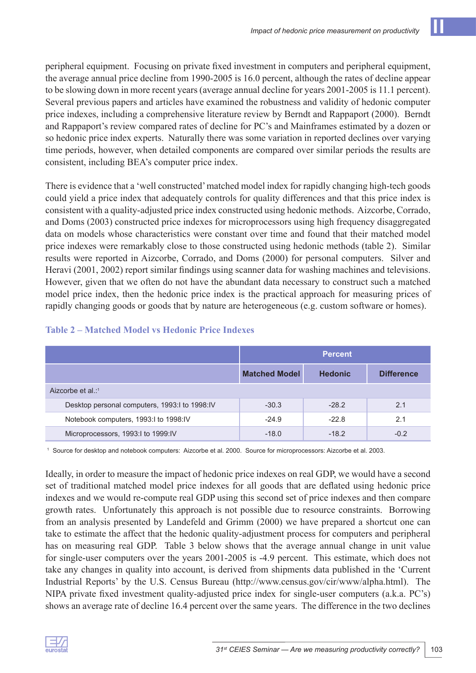peripheral equipment. Focusing on private fixed investment in computers and peripheral equipment, the average annual price decline from 1990-2005 is 16.0 percent, although the rates of decline appear to be slowing down in more recent years (average annual decline for years 2001-2005 is 11.1 percent). Several previous papers and articles have examined the robustness and validity of hedonic computer price indexes, including a comprehensive literature review by Berndt and Rappaport (2000). Berndt and Rappaport's review compared rates of decline for PC's and Mainframes estimated by a dozen or so hedonic price index experts. Naturally there was some variation in reported declines over varying time periods, however, when detailed components are compared over similar periods the results are consistent, including BEA's computer price index.

There is evidence that a 'well constructed' matched model index for rapidly changing high-tech goods could yield a price index that adequately controls for quality differences and that this price index is consistent with a quality-adjusted price index constructed using hedonic methods. Aizcorbe, Corrado, and Doms (2003) constructed price indexes for microprocessors using high frequency disaggregated data on models whose characteristics were constant over time and found that their matched model price indexes were remarkably close to those constructed using hedonic methods (table 2). Similar results were reported in Aizcorbe, Corrado, and Doms (2000) for personal computers. Silver and Heravi (2001, 2002) report similar findings using scanner data for washing machines and televisions. However, given that we often do not have the abundant data necessary to construct such a matched model price index, then the hedonic price index is the practical approach for measuring prices of rapidly changing goods or goods that by nature are heterogeneous (e.g. custom software or homes).

|                                               | <b>Percent</b>       |                |                   |  |  |
|-----------------------------------------------|----------------------|----------------|-------------------|--|--|
|                                               | <b>Matched Model</b> | <b>Hedonic</b> | <b>Difference</b> |  |  |
| Aizcorbe et al.:1                             |                      |                |                   |  |  |
| Desktop personal computers, 1993:I to 1998:IV | $-30.3$              | $-28.2$        | 2.1               |  |  |
| Notebook computers, 1993:I to 1998:IV         | $-24.9$              | $-22.8$        | 2.1               |  |  |
| Microprocessors, 1993:I to 1999:IV            | $-18.0$              | $-18.2$        | $-0.2$            |  |  |

#### **Table 2 – Matched Model vs Hedonic Price Indexes**

1 Source for desktop and notebook computers: Aizcorbe et al. 2000. Source for microprocessors: Aizcorbe et al. 2003.

Ideally, in order to measure the impact of hedonic price indexes on real GDP, we would have a second set of traditional matched model price indexes for all goods that are deflated using hedonic price indexes and we would re-compute real GDP using this second set of price indexes and then compare growth rates. Unfortunately this approach is not possible due to resource constraints. Borrowing from an analysis presented by Landefeld and Grimm (2000) we have prepared a shortcut one can take to estimate the affect that the hedonic quality-adjustment process for computers and peripheral has on measuring real GDP. Table 3 below shows that the average annual change in unit value for single-user computers over the years 2001-2005 is -4.9 percent. This estimate, which does not take any changes in quality into account, is derived from shipments data published in the 'Current Industrial Reports' by the U.S. Census Bureau (http://www.census.gov/cir/www/alpha.html). The NIPA private fixed investment quality-adjusted price index for single-user computers (a.k.a. PC's) shows an average rate of decline 16.4 percent over the same years. The difference in the two declines

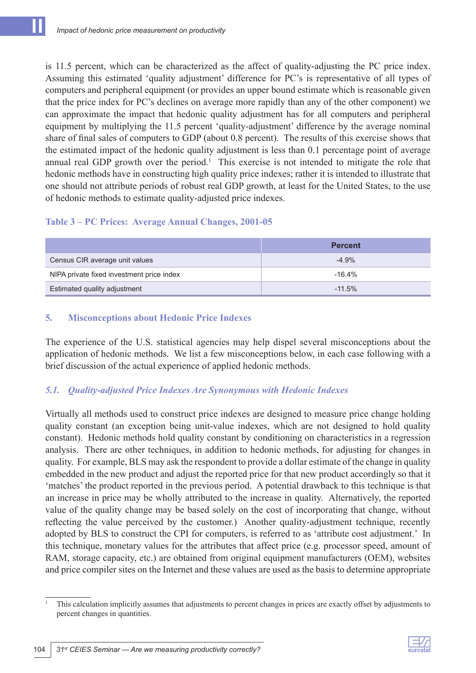is 11.5 percent, which can be characterized as the affect of quality-adjusting the PC price index. Assuming this estimated 'quality adjustment' difference for PC's is representative of all types of computers and peripheral equipment (or provides an upper bound estimate which is reasonable given that the price index for PC's declines on average more rapidly than any of the other component) we can approximate the impact that hedonic quality adjustment has for all computers and peripheral equipment by multiplying the 11.5 percent 'quality-adjustment' difference by the average nominal share of final sales of computers to GDP (about 0.8 percent). The results of this exercise shows that the estimated impact of the hedonic quality adjustment is less than 0.1 percentage point of average annual real GDP growth over the period.<sup>1</sup> This exercise is not intended to mitigate the role that hedonic methods have in constructing high quality price indexes; rather it is intended to illustrate that one should not attribute periods of robust real GDP growth, at least for the United States, to the use of hedonic methods to estimate quality-adjusted price indexes.

#### **Table 3 – PC Prices: Average Annual Changes, 2001-05**

|                                           | <b>Percent</b> |  |  |
|-------------------------------------------|----------------|--|--|
| Census CIR average unit values            | $-4.9%$        |  |  |
| NIPA private fixed investment price index | $-16.4%$       |  |  |
| Estimated quality adjustment              | $-11.5%$       |  |  |

# **5. Misconceptions about Hedonic Price Indexes**

The experience of the U.S. statistical agencies may help dispel several misconceptions about the application of hedonic methods. We list a few misconceptions below, in each case following with a brief discussion of the actual experience of applied hedonic methods.

# *5.1. Quality-adjusted Price Indexes Are Synonymous with Hedonic Indexes*

Virtually all methods used to construct price indexes are designed to measure price change holding quality constant (an exception being unit-value indexes, which are not designed to hold quality constant). Hedonic methods hold quality constant by conditioning on characteristics in a regression analysis. There are other techniques, in addition to hedonic methods, for adjusting for changes in quality. For example, BLS may ask the respondent to provide a dollar estimate of the change in quality embedded in the new product and adjust the reported price for that new product accordingly so that it 'matches' the product reported in the previous period. A potential drawback to this technique is that an increase in price may be wholly attributed to the increase in quality. Alternatively, the reported value of the quality change may be based solely on the cost of incorporating that change, without reflecting the value perceived by the customer.) Another quality-adjustment technique, recently adopted by BLS to construct the CPI for computers, is referred to as 'attribute cost adjustment.' In this technique, monetary values for the attributes that affect price (e.g. processor speed, amount of RAM, storage capacity, etc.) are obtained from original equipment manufacturers (OEM), websites and price compiler sites on the Internet and these values are used as the basis to determine appropriate



<sup>&</sup>lt;sup>1</sup> This calculation implicitly assumes that adjustments to percent changes in prices are exactly offset by adjustments to percent changes in quantities.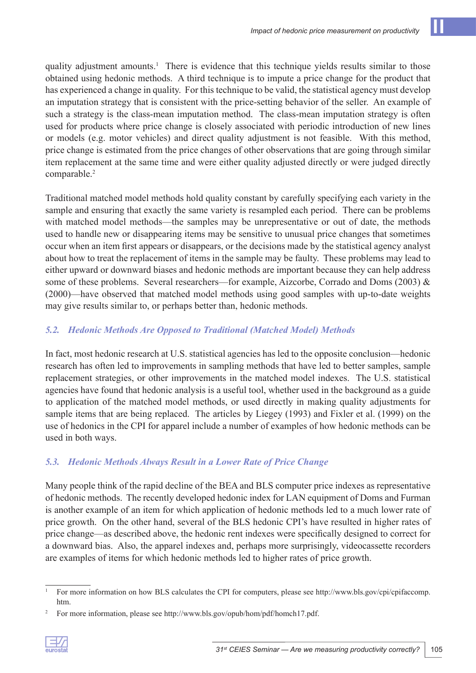quality adjustment amounts.<sup>1</sup> There is evidence that this technique yields results similar to those obtained using hedonic methods. A third technique is to impute a price change for the product that has experienced a change in quality. For this technique to be valid, the statistical agency must develop an imputation strategy that is consistent with the price-setting behavior of the seller. An example of such a strategy is the class-mean imputation method. The class-mean imputation strategy is often used for products where price change is closely associated with periodic introduction of new lines or models (e.g. motor vehicles) and direct quality adjustment is not feasible. With this method, price change is estimated from the price changes of other observations that are going through similar item replacement at the same time and were either quality adjusted directly or were judged directly comparable.<sup>2</sup>

Traditional matched model methods hold quality constant by carefully specifying each variety in the sample and ensuring that exactly the same variety is resampled each period. There can be problems with matched model methods—the samples may be unrepresentative or out of date, the methods used to handle new or disappearing items may be sensitive to unusual price changes that sometimes occur when an item first appears or disappears, or the decisions made by the statistical agency analyst about how to treat the replacement of items in the sample may be faulty. These problems may lead to either upward or downward biases and hedonic methods are important because they can help address some of these problems. Several researchers—for example, Aizcorbe, Corrado and Doms (2003) & (2000)—have observed that matched model methods using good samples with up-to-date weights may give results similar to, or perhaps better than, hedonic methods.

# *5.2. Hedonic Methods Are Opposed to Traditional (Matched Model) Methods*

In fact, most hedonic research at U.S. statistical agencies has led to the opposite conclusion—hedonic research has often led to improvements in sampling methods that have led to better samples, sample replacement strategies, or other improvements in the matched model indexes. The U.S. statistical agencies have found that hedonic analysis is a useful tool, whether used in the background as a guide to application of the matched model methods, or used directly in making quality adjustments for sample items that are being replaced. The articles by Liegey (1993) and Fixler et al. (1999) on the use of hedonics in the CPI for apparel include a number of examples of how hedonic methods can be used in both ways.

# *5.3. Hedonic Methods Always Result in a Lower Rate of Price Change*

Many people think of the rapid decline of the BEA and BLS computer price indexes as representative of hedonic methods. The recently developed hedonic index for LAN equipment of Doms and Furman is another example of an item for which application of hedonic methods led to a much lower rate of price growth. On the other hand, several of the BLS hedonic CPI's have resulted in higher rates of price change—as described above, the hedonic rent indexes were specifically designed to correct for a downward bias. Also, the apparel indexes and, perhaps more surprisingly, videocassette recorders are examples of items for which hedonic methods led to higher rates of price growth.

<sup>&</sup>lt;sup>2</sup> For more information, please see http://www.bls.gov/opub/hom/pdf/homch17.pdf.



<sup>&</sup>lt;sup>1</sup> For more information on how BLS calculates the CPI for computers, please see http://www.bls.gov/cpi/cpifaccomp. htm.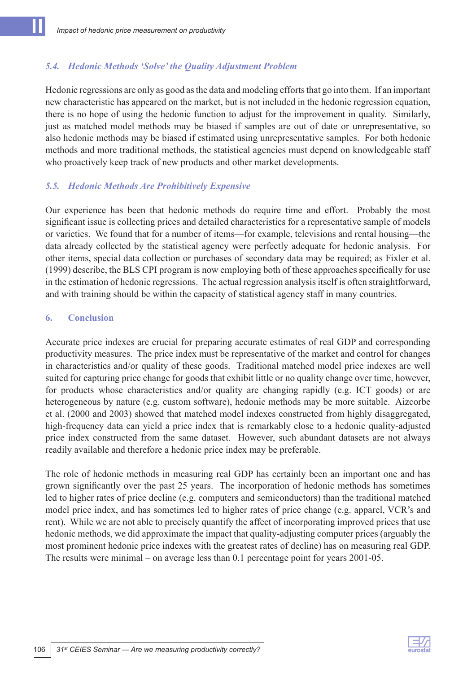### *5.4. Hedonic Methods 'Solve' the Quality Adjustment Problem*

Hedonic regressions are only as good as the data and modeling efforts that go into them. If an important new characteristic has appeared on the market, but is not included in the hedonic regression equation, there is no hope of using the hedonic function to adjust for the improvement in quality. Similarly, just as matched model methods may be biased if samples are out of date or unrepresentative, so also hedonic methods may be biased if estimated using unrepresentative samples. For both hedonic methods and more traditional methods, the statistical agencies must depend on knowledgeable staff who proactively keep track of new products and other market developments.

#### *5.5. Hedonic Methods Are Prohibitively Expensive*

Our experience has been that hedonic methods do require time and effort. Probably the most significant issue is collecting prices and detailed characteristics for a representative sample of models or varieties. We found that for a number of items—for example, televisions and rental housing—the data already collected by the statistical agency were perfectly adequate for hedonic analysis. For other items, special data collection or purchases of secondary data may be required; as Fixler et al. (1999) describe, the BLS CPI program is now employing both of these approaches specifically for use in the estimation of hedonic regressions. The actual regression analysis itself is often straightforward, and with training should be within the capacity of statistical agency staff in many countries.

#### **6. Conclusion**

Accurate price indexes are crucial for preparing accurate estimates of real GDP and corresponding productivity measures. The price index must be representative of the market and control for changes in characteristics and/or quality of these goods. Traditional matched model price indexes are well suited for capturing price change for goods that exhibit little or no quality change over time, however, for products whose characteristics and/or quality are changing rapidly (e.g. ICT goods) or are heterogeneous by nature (e.g. custom software), hedonic methods may be more suitable. Aizcorbe et al. (2000 and 2003) showed that matched model indexes constructed from highly disaggregated, high-frequency data can yield a price index that is remarkably close to a hedonic quality-adjusted price index constructed from the same dataset. However, such abundant datasets are not always readily available and therefore a hedonic price index may be preferable.

The role of hedonic methods in measuring real GDP has certainly been an important one and has grown significantly over the past 25 years. The incorporation of hedonic methods has sometimes led to higher rates of price decline (e.g. computers and semiconductors) than the traditional matched model price index, and has sometimes led to higher rates of price change (e.g. apparel, VCR's and rent). While we are not able to precisely quantify the affect of incorporating improved prices that use hedonic methods, we did approximate the impact that quality-adjusting computer prices (arguably the most prominent hedonic price indexes with the greatest rates of decline) has on measuring real GDP. The results were minimal – on average less than 0.1 percentage point for years 2001-05.

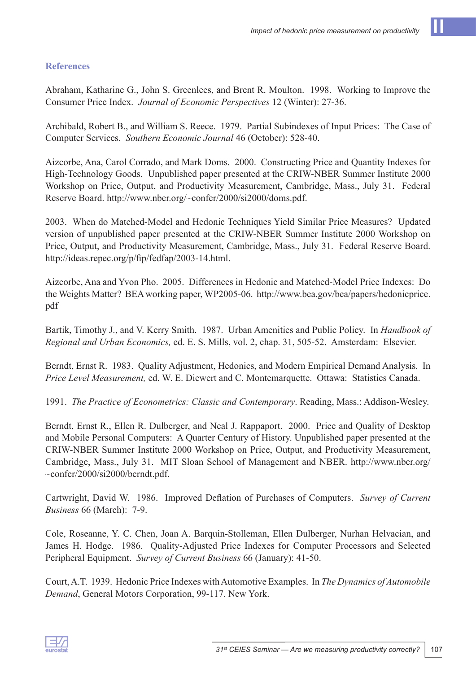#### **References**

Abraham, Katharine G., John S. Greenlees, and Brent R. Moulton. 1998. Working to Improve the Consumer Price Index. *Journal of Economic Perspectives* 12 (Winter): 27-36.

Archibald, Robert B., and William S. Reece. 1979. Partial Subindexes of Input Prices: The Case of Computer Services. *Southern Economic Journal* 46 (October): 528‑40.

Aizcorbe, Ana, Carol Corrado, and Mark Doms. 2000. Constructing Price and Quantity Indexes for High-Technology Goods. Unpublished paper presented at the CRIW-NBER Summer Institute 2000 Workshop on Price, Output, and Productivity Measurement, Cambridge, Mass., July 31. Federal Reserve Board. http://www.nber.org/~confer/2000/si2000/doms.pdf.

2003. When do Matched-Model and Hedonic Techniques Yield Similar Price Measures? Updated version of unpublished paper presented at the CRIW-NBER Summer Institute 2000 Workshop on Price, Output, and Productivity Measurement, Cambridge, Mass., July 31. Federal Reserve Board. http://ideas.repec.org/p/fip/fedfap/2003-14.html.

Aizcorbe, Ana and Yvon Pho. 2005. Differences in Hedonic and Matched-Model Price Indexes: Do the Weights Matter? BEA working paper, WP2005-06. http://www.bea.gov/bea/papers/hedonicprice. pdf

Bartik, Timothy J., and V. Kerry Smith. 1987. Urban Amenities and Public Policy. In *Handbook of Regional and Urban Economics,* ed. E. S. Mills, vol. 2, chap. 31, 505-52. Amsterdam: Elsevier.

Berndt, Ernst R. 1983. Quality Adjustment, Hedonics, and Modern Empirical Demand Analysis. In *Price Level Measurement,* ed. W. E. Diewert and C. Montemarquette. Ottawa: Statistics Canada.

1991. *The Practice of Econometrics: Classic and Contemporary*. Reading, Mass.: Addison-Wesley.

Berndt, Ernst R., Ellen R. Dulberger, and Neal J. Rappaport. 2000. Price and Quality of Desktop and Mobile Personal Computers: A Quarter Century of History. Unpublished paper presented at the CRIW-NBER Summer Institute 2000 Workshop on Price, Output, and Productivity Measurement, Cambridge, Mass., July 31. MIT Sloan School of Management and NBER. http://www.nber.org/ ~confer/2000/si2000/berndt.pdf.

Cartwright, David W. 1986. Improved Deflation of Purchases of Computers. *Survey of Current Business* 66 (March): 7-9.

Cole, Roseanne, Y. C. Chen, Joan A. Barquin-Stolleman, Ellen Dulberger, Nurhan Helvacian, and James H. Hodge. 1986. Quality-Adjusted Price Indexes for Computer Processors and Selected Peripheral Equipment. *Survey of Current Business* 66 (January): 41-50.

Court, A.T. 1939. Hedonic Price Indexes with Automotive Examples. In *The Dynamics of Automobile Demand*, General Motors Corporation, 99-117. New York.

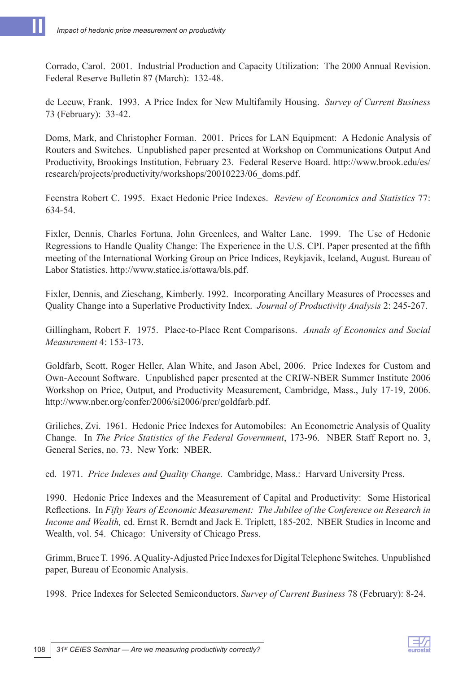Corrado, Carol. 2001. Industrial Production and Capacity Utilization: The 2000 Annual Revision. Federal Reserve Bulletin 87 (March): 132-48.

de Leeuw, Frank. 1993. A Price Index for New Multifamily Housing. *Survey of Current Business* 73 (February): 33-42.

Doms, Mark, and Christopher Forman. 2001. Prices for LAN Equipment: A Hedonic Analysis of Routers and Switches. Unpublished paper presented at Workshop on Communications Output And Productivity, Brookings Institution, February 23. Federal Reserve Board. http://www.brook.edu/es/ research/projects/productivity/workshops/20010223/06\_doms.pdf.

Feenstra Robert C. 1995. Exact Hedonic Price Indexes. *Review of Economics and Statistics* 77: 634-54.

Fixler, Dennis, Charles Fortuna, John Greenlees, and Walter Lane. 1999. The Use of Hedonic Regressions to Handle Quality Change: The Experience in the U.S. CPI. Paper presented at the fifth meeting of the International Working Group on Price Indices, Reykjavik, Iceland, August. Bureau of Labor Statistics. http://www.statice.is/ottawa/bls.pdf.

Fixler, Dennis, and Zieschang, Kimberly. 1992. Incorporating Ancillary Measures of Processes and Quality Change into a Superlative Productivity Index. *Journal of Productivity Analysis* 2: 245-267.

Gillingham, Robert F. 1975. Place-to-Place Rent Comparisons. *Annals of Economics and Social Measurement* 4: 153-173.

Goldfarb, Scott, Roger Heller, Alan White, and Jason Abel, 2006. Price Indexes for Custom and Own-Account Software. Unpublished paper presented at the CRIW-NBER Summer Institute 2006 Workshop on Price, Output, and Productivity Measurement, Cambridge, Mass., July 17-19, 2006. http://www.nber.org/confer/2006/si2006/prcr/goldfarb.pdf.

Griliches, Zvi. 1961. Hedonic Price Indexes for Automobiles: An Econometric Analysis of Quality Change. In *The Price Statistics of the Federal Government*, 173-96. NBER Staff Report no. 3, General Series, no. 73. New York: NBER.

ed. 1971. *Price Indexes and Quality Change.* Cambridge, Mass.: Harvard University Press.

1990. Hedonic Price Indexes and the Measurement of Capital and Productivity: Some Historical Reflections. In *Fifty Years of Economic Measurement: The Jubilee of the Conference on Research in Income and Wealth,* ed. Ernst R. Berndt and Jack E. Triplett, 185-202. NBER Studies in Income and Wealth, vol. 54. Chicago: University of Chicago Press.

Grimm, Bruce T. 1996. A Quality-Adjusted Price Indexes for Digital Telephone Switches. Unpublished paper, Bureau of Economic Analysis.

1998. Price Indexes for Selected Semiconductors. *Survey of Current Business* 78 (February): 8-24.

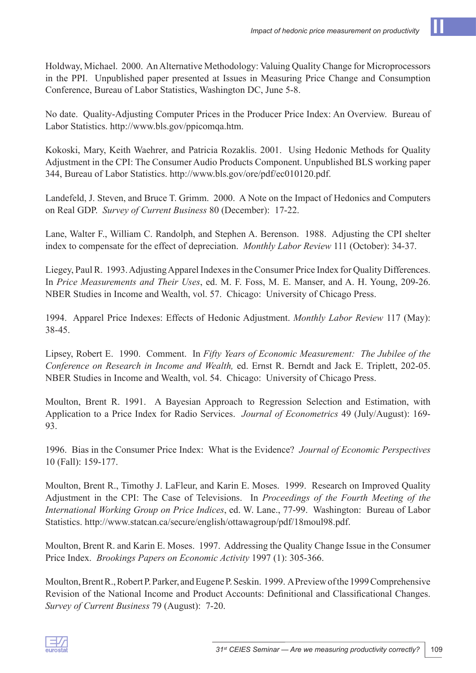Holdway, Michael. 2000. An Alternative Methodology: Valuing Quality Change for Microprocessors in the PPI. Unpublished paper presented at Issues in Measuring Price Change and Consumption Conference, Bureau of Labor Statistics, Washington DC, June 5-8.

No date. Quality-Adjusting Computer Prices in the Producer Price Index: An Overview. Bureau of Labor Statistics. http://www.bls.gov/ppicomqa.htm.

Kokoski, Mary, Keith Waehrer, and Patricia Rozaklis. 2001. Using Hedonic Methods for Quality Adjustment in the CPI: The Consumer Audio Products Component. Unpublished BLS working paper 344, Bureau of Labor Statistics. http://www.bls.gov/ore/pdf/ec010120.pdf.

Landefeld, J. Steven, and Bruce T. Grimm. 2000. A Note on the Impact of Hedonics and Computers on Real GDP. *Survey of Current Business* 80 (December): 17-22.

Lane, Walter F., William C. Randolph, and Stephen A. Berenson. 1988. Adjusting the CPI shelter index to compensate for the effect of depreciation. *Monthly Labor Review* 111 (October): 34-37.

Liegey, Paul R. 1993. Adjusting Apparel Indexes in the Consumer Price Index for Quality Differences. In *Price Measurements and Their Uses*, ed. M. F. Foss, M. E. Manser, and A. H. Young, 209-26. NBER Studies in Income and Wealth, vol. 57. Chicago: University of Chicago Press.

1994. Apparel Price Indexes: Effects of Hedonic Adjustment. *Monthly Labor Review* 117 (May): 38-45.

Lipsey, Robert E. 1990. Comment. In *Fifty Years of Economic Measurement: The Jubilee of the Conference on Research in Income and Wealth,* ed. Ernst R. Berndt and Jack E. Triplett, 202-05. NBER Studies in Income and Wealth, vol. 54. Chicago: University of Chicago Press.

Moulton, Brent R. 1991. A Bayesian Approach to Regression Selection and Estimation, with Application to a Price Index for Radio Services. *Journal of Econometrics* 49 (July/August): 169- 93.

1996. Bias in the Consumer Price Index: What is the Evidence? *Journal of Economic Perspectives* 10 (Fall): 159-177.

Moulton, Brent R., Timothy J. LaFleur, and Karin E. Moses. 1999. Research on Improved Quality Adjustment in the CPI: The Case of Televisions. In *Proceedings of the Fourth Meeting of the International Working Group on Price Indices*, ed. W. Lane., 77-99. Washington: Bureau of Labor Statistics. http://www.statcan.ca/secure/english/ottawagroup/pdf/18moul98.pdf.

Moulton, Brent R. and Karin E. Moses. 1997. Addressing the Quality Change Issue in the Consumer Price Index. *Brookings Papers on Economic Activity* 1997 (1): 305-366.

Moulton, Brent R., Robert P. Parker, and Eugene P. Seskin. 1999. A Preview of the 1999 Comprehensive Revision of the National Income and Product Accounts: Definitional and Classificational Changes. *Survey of Current Business* 79 (August): 7-20.

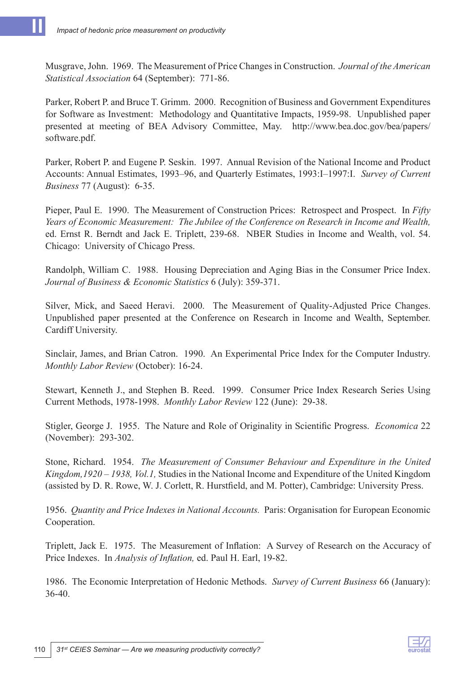Musgrave, John. 1969. The Measurement of Price Changes in Construction. *Journal of the American Statistical Association* 64 (September): 771-86.

Parker, Robert P. and Bruce T. Grimm. 2000. Recognition of Business and Government Expenditures for Software as Investment: Methodology and Quantitative Impacts, 1959-98. Unpublished paper presented at meeting of BEA Advisory Committee, May. http://www.bea.doc.gov/bea/papers/ software.pdf.

Parker, Robert P. and Eugene P. Seskin. 1997. Annual Revision of the National Income and Product Accounts: Annual Estimates, 1993–96, and Quarterly Estimates, 1993:I–1997:I. *Survey of Current Business* 77 (August): 6-35.

Pieper, Paul E. 1990. The Measurement of Construction Prices: Retrospect and Prospect. In *Fifty Years of Economic Measurement: The Jubilee of the Conference on Research in Income and Wealth,* ed. Ernst R. Berndt and Jack E. Triplett, 239-68. NBER Studies in Income and Wealth, vol. 54. Chicago: University of Chicago Press.

Randolph, William C. 1988. Housing Depreciation and Aging Bias in the Consumer Price Index. *Journal of Business & Economic Statistics* 6 (July): 359-371.

Silver, Mick, and Saeed Heravi. 2000. The Measurement of Quality-Adjusted Price Changes. Unpublished paper presented at the Conference on Research in Income and Wealth, September. Cardiff University.

Sinclair, James, and Brian Catron. 1990. An Experimental Price Index for the Computer Industry. *Monthly Labor Review* (October): 16-24.

Stewart, Kenneth J., and Stephen B. Reed. 1999. Consumer Price Index Research Series Using Current Methods, 1978-1998. *Monthly Labor Review* 122 (June): 29-38.

Stigler, George J. 1955. The Nature and Role of Originality in Scientific Progress. *Economica* 22 (November): 293-302.

Stone, Richard. 1954. *The Measurement of Consumer Behaviour and Expenditure in the United Kingdom,1920 – 1938, Vol.1,* Studies in the National Income and Expenditure of the United Kingdom (assisted by D. R. Rowe, W. J. Corlett, R. Hurstfield, and M. Potter), Cambridge: University Press.

1956. *Quantity and Price Indexes in National Accounts.* Paris: Organisation for European Economic Cooperation.

Triplett, Jack E. 1975. The Measurement of Inflation: A Survey of Research on the Accuracy of Price Indexes. In *Analysis of Inflation,* ed. Paul H. Earl, 19-82.

1986. The Economic Interpretation of Hedonic Methods. *Survey of Current Business* 66 (January): 36-40.

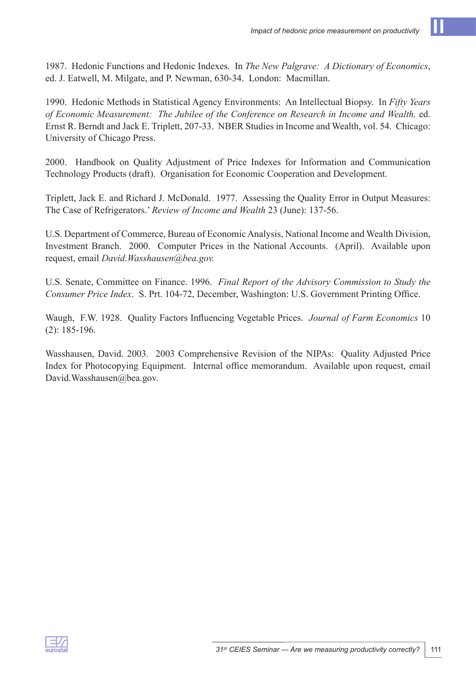1990. Hedonic Methods in Statistical Agency Environments: An Intellectual Biopsy. In *Fifty Years of Economic Measurement: The Jubilee of the Conference on Research in Income and Wealth,* ed. Ernst R. Berndt and Jack E. Triplett, 207-33. NBER Studies in Income and Wealth, vol. 54. Chicago: University of Chicago Press.

2000. Handbook on Quality Adjustment of Price Indexes for Information and Communication Technology Products (draft). Organisation for Economic Cooperation and Development.

Triplett, Jack E. and Richard J. McDonald. 1977. Assessing the Quality Error in Output Measures: The Case of Refrigerators.' *Review of Income and Wealth* 23 (June): 137-56.

U.S. Department of Commerce, Bureau of Economic Analysis, National Income and Wealth Division, Investment Branch. 2000. Computer Prices in the National Accounts. (April). Available upon request, email *David.Wasshausen@bea.gov.*

U.S. Senate, Committee on Finance. 1996. *Final Report of the Advisory Commission to Study the Consumer Price Index*. S. Prt. 104-72, December, Washington: U.S. Government Printing Office.

Waugh, F.W. 1928. Quality Factors Influencing Vegetable Prices. *Journal of Farm Economics* 10 (2): 185-196.

Wasshausen, David. 2003. 2003 Comprehensive Revision of the NIPAs: Quality Adjusted Price Index for Photocopying Equipment. Internal office memorandum. Available upon request, email David.Wasshausen@bea.gov.